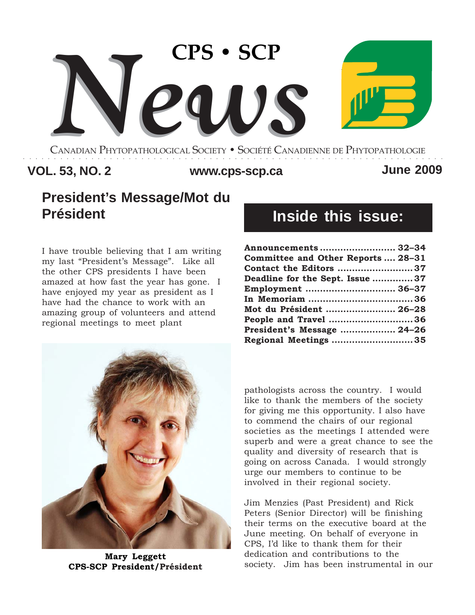

CANADIAN PHYTOPATHOLOGICAL SOCIETY **•** SOCIÉTÉ CANADIENNE DE PHYTOPATHOLOGIE ○○○○○○○○○○○○○○○○○○○○○○○○○○○○○○○○○○○○○○○○○○○○○○○○○○○○○○○○○○○○○○○○○○○○

# **VOL. 53, NO. 2 www.cps-scp.ca June 2009**

# **President's Message/Mot du Président**

I have trouble believing that I am writing my last "President's Message". Like all the other CPS presidents I have been amazed at how fast the year has gone. I have enjoyed my year as president as I have had the chance to work with an amazing group of volunteers and attend regional meetings to meet plant



**Mary Leggett CPS-SCP President/Président**

# **Inside this issue:**

| Announcements  32-34               |  |
|------------------------------------|--|
| Committee and Other Reports  28-31 |  |
| Contact the Editors 37             |  |
| Deadline for the Sept. Issue 37    |  |
| Employment  36–37                  |  |
|                                    |  |
| Mot du Président  26–28            |  |
| People and Travel 36               |  |
| President's Message  24-26         |  |
| Regional Meetings 35               |  |
|                                    |  |

pathologists across the country. I would like to thank the members of the society for giving me this opportunity. I also have to commend the chairs of our regional societies as the meetings I attended were superb and were a great chance to see the quality and diversity of research that is going on across Canada. I would strongly urge our members to continue to be involved in their regional society.

Jim Menzies (Past President) and Rick Peters (Senior Director) will be finishing their terms on the executive board at the June meeting. On behalf of everyone in CPS, I'd like to thank them for their dedication and contributions to the society. Jim has been instrumental in our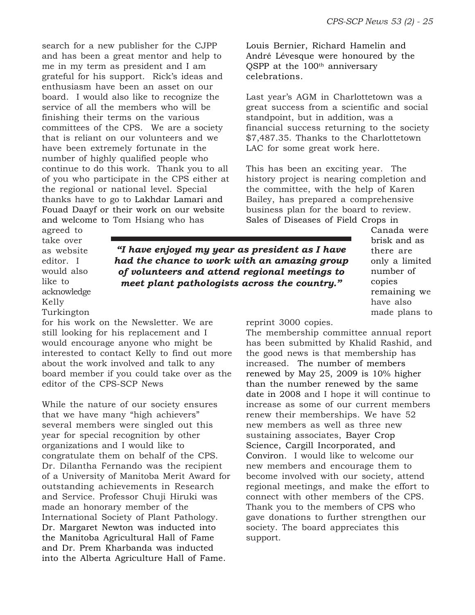search for a new publisher for the CJPP and has been a great mentor and help to me in my term as president and I am grateful for his support. Rick's ideas and enthusiasm have been an asset on our board. I would also like to recognize the service of all the members who will be finishing their terms on the various committees of the CPS. We are a society that is reliant on our volunteers and we have been extremely fortunate in the number of highly qualified people who continue to do this work. Thank you to all of you who participate in the CPS either at the regional or national level. Special thanks have to go to Lakhdar Lamari and Fouad Daayf or their work on our website and welcome to Tom Hsiang who has

Louis Bernier, Richard Hamelin and André Lévesque were honoured by the QSPP at the 100<sup>th</sup> anniversary celebrations.

Last year's AGM in Charlottetown was a great success from a scientific and social standpoint, but in addition, was a financial success returning to the society \$7,487.35. Thanks to the Charlottetown LAC for some great work here.

This has been an exciting year. The history project is nearing completion and the committee, with the help of Karen Bailey, has prepared a comprehensive business plan for the board to review. Sales of Diseases of Field Crops in

agreed to take over as website editor. I would also like to acknowledge Kelly Turkington

*"I have enjoyed my year as president as I have had the chance to work with an amazing group of volunteers and attend regional meetings to meet plant pathologists across the country."*

Canada were brisk and as there are only a limited number of copies remaining we have also made plans to

reprint 3000 copies.

The membership committee annual report has been submitted by Khalid Rashid, and the good news is that membership has increased. The number of members renewed by May 25, 2009 is 10% higher than the number renewed by the same date in 2008 and I hope it will continue to increase as some of our current members renew their memberships. We have 52 new members as well as three new sustaining associates, Bayer Crop Science, Cargill Incorporated, and Conviron. I would like to welcome our new members and encourage them to become involved with our society, attend regional meetings, and make the effort to connect with other members of the CPS. Thank you to the members of CPS who gave donations to further strengthen our society. The board appreciates this support.

for his work on the Newsletter. We are still looking for his replacement and I would encourage anyone who might be interested to contact Kelly to find out more about the work involved and talk to any board member if you could take over as the editor of the CPS-SCP News

While the nature of our society ensures that we have many "high achievers" several members were singled out this year for special recognition by other organizations and I would like to congratulate them on behalf of the CPS. Dr. Dilantha Fernando was the recipient of a University of Manitoba Merit Award for outstanding achievements in Research and Service. Professor Chuji Hiruki was made an honorary member of the International Society of Plant Pathology. Dr. Margaret Newton was inducted into the Manitoba Agricultural Hall of Fame and Dr. Prem Kharbanda was inducted into the Alberta Agriculture Hall of Fame.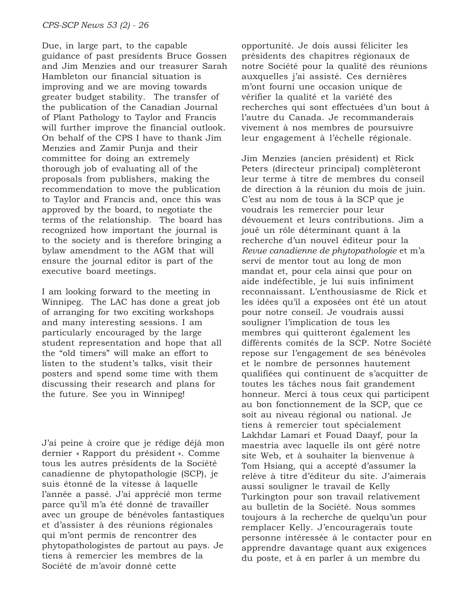Due, in large part, to the capable guidance of past presidents Bruce Gossen and Jim Menzies and our treasurer Sarah Hambleton our financial situation is improving and we are moving towards greater budget stability. The transfer of the publication of the Canadian Journal of Plant Pathology to Taylor and Francis will further improve the financial outlook. On behalf of the CPS I have to thank Jim Menzies and Zamir Punja and their committee for doing an extremely thorough job of evaluating all of the proposals from publishers, making the recommendation to move the publication to Taylor and Francis and, once this was approved by the board, to negotiate the terms of the relationship. The board has recognized how important the journal is to the society and is therefore bringing a bylaw amendment to the AGM that will ensure the journal editor is part of the executive board meetings.

I am looking forward to the meeting in Winnipeg. The LAC has done a great job of arranging for two exciting workshops and many interesting sessions. I am particularly encouraged by the large student representation and hope that all the "old timers" will make an effort to listen to the student's talks, visit their posters and spend some time with them discussing their research and plans for the future. See you in Winnipeg!

J'ai peine à croire que je rédige déjà mon dernier « Rapport du président ». Comme tous les autres présidents de la Société canadienne de phytopathologie (SCP), je suis étonné de la vitesse à laquelle l'année a passé. J'ai apprécié mon terme parce qu'il m'a été donné de travailler avec un groupe de bénévoles fantastiques et d'assister à des réunions régionales qui m'ont permis de rencontrer des phytopathologistes de partout au pays. Je tiens à remercier les membres de la Société de m'avoir donné cette

opportunité. Je dois aussi féliciter les présidents des chapitres régionaux de notre Société pour la qualité des réunions auxquelles j'ai assisté. Ces dernières m'ont fourni une occasion unique de vérifier la qualité et la variété des recherches qui sont effectuées d'un bout à l'autre du Canada. Je recommanderais vivement à nos membres de poursuivre leur engagement à l'échelle régionale.

Jim Menzies (ancien président) et Rick Peters (directeur principal) complèteront leur terme à titre de membres du conseil de direction à la réunion du mois de juin. C'est au nom de tous à la SCP que je voudrais les remercier pour leur dévouement et leurs contributions. Jim a joué un rôle déterminant quant à la recherche d'un nouvel éditeur pour la *Revue canadienne de phytopathologie* et m'a servi de mentor tout au long de mon mandat et, pour cela ainsi que pour on aide indéfectible, je lui suis infiniment reconnaissant. L'enthousiasme de Rick et les idées qu'il a exposées ont été un atout pour notre conseil. Je voudrais aussi souligner l'implication de tous les membres qui quitteront également les différents comités de la SCP. Notre Société repose sur l'engagement de ses bénévoles et le nombre de personnes hautement qualifiées qui continuent de s'acquitter de toutes les tâches nous fait grandement honneur. Merci à tous ceux qui participent au bon fonctionnement de la SCP, que ce soit au niveau régional ou national. Je tiens à remercier tout spécialement Lakhdar Lamari et Fouad Daayf, pour la maestria avec laquelle ils ont géré notre site Web, et à souhaiter la bienvenue à Tom Hsiang, qui a accepté d'assumer la relève à titre d'éditeur du site. J'aimerais aussi souligner le travail de Kelly Turkington pour son travail relativement au bulletin de la Société. Nous sommes toujours à la recherche de quelqu'un pour remplacer Kelly. J'encouragerais toute personne intéressée à le contacter pour en apprendre davantage quant aux exigences du poste, et à en parler à un membre du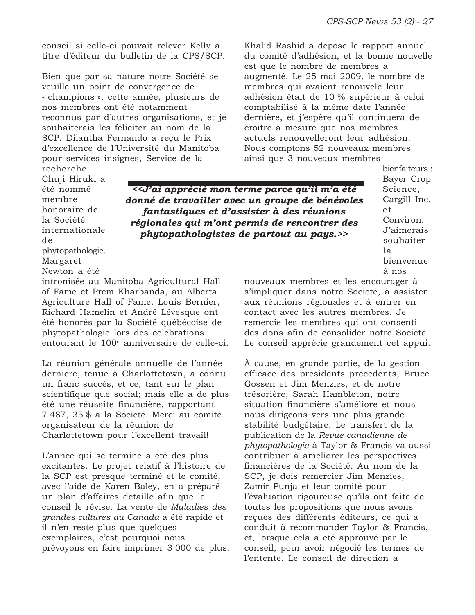conseil si celle-ci pouvait relever Kelly à titre d'éditeur du bulletin de la CPS/SCP.

Bien que par sa nature notre Société se veuille un point de convergence de « champions », cette année, plusieurs de nos membres ont été notamment reconnus par d'autres organisations, et je souhaiterais les féliciter au nom de la SCP. Dilantha Fernando a reçu le Prix d'excellence de l'Université du Manitoba pour services insignes, Service de la recherche.

Khalid Rashid a déposé le rapport annuel du comité d'adhésion, et la bonne nouvelle est que le nombre de membres a augmenté. Le 25 mai 2009, le nombre de membres qui avaient renouvelé leur adhésion était de 10 % supérieur à celui comptabilisé à la même date l'année dernière, et j'espère qu'il continuera de croître à mesure que nos membres actuels renouvelleront leur adhésion. Nous comptons 52 nouveaux membres ainsi que 3 nouveaux membres

Chuji Hiruki a été nommé membre honoraire de la Société internationale de phytopathologie. Margaret

*<<J'ai apprécié mon terme parce qu'il m'a été donné de travailler avec un groupe de bénévoles fantastiques et d'assister à des réunions régionales qui m'ont permis de rencontrer des phytopathologistes de partout au pays.>>*

bienfaiteurs : Bayer Crop Science, Cargill Inc. et Conviron. J'aimerais souhaiter la bienvenue à nos

nouveaux membres et les encourager à s'impliquer dans notre Société, à assister aux réunions régionales et à entrer en contact avec les autres membres. Je remercie les membres qui ont consenti des dons afin de consolider notre Société. Le conseil apprécie grandement cet appui.

> À cause, en grande partie, de la gestion efficace des présidents précédents, Bruce Gossen et Jim Menzies, et de notre trésorière, Sarah Hambleton, notre situation financière s'améliore et nous nous dirigeons vers une plus grande stabilité budgétaire. Le transfert de la publication de la *Revue canadienne de phytopathologie* à Taylor & Francis va aussi contribuer à améliorer les perspectives financières de la Société. Au nom de la SCP, je dois remercier Jim Menzies, Zamir Punja et leur comité pour l'évaluation rigoureuse qu'ils ont faite de toutes les propositions que nous avons reçues des différents éditeurs, ce qui a conduit à recommander Taylor & Francis, et, lorsque cela a été approuvé par le conseil, pour avoir négocié les termes de l'entente. Le conseil de direction a

Newton a été intronisée au Manitoba Agricultural Hall of Fame et Prem Kharbanda, au Alberta Agriculture Hall of Fame. Louis Bernier, Richard Hamelin et André Lévesque ont été honorés par la Société québécoise de phytopathologie lors des célébrations entourant le 100<sup>e</sup> anniversaire de celle-ci.

La réunion générale annuelle de l'année dernière, tenue à Charlottetown, a connu un franc succès, et ce, tant sur le plan scientifique que social; mais elle a de plus été une réussite financière, rapportant 7 487, 35 \$ à la Société. Merci au comité organisateur de la réunion de Charlottetown pour l'excellent travail!

L'année qui se termine a été des plus excitantes. Le projet relatif à l'histoire de la SCP est presque terminé et le comité, avec l'aide de Karen Baley, en a préparé un plan d'affaires détaillé afin que le conseil le révise. La vente de *Maladies des grandes cultures au Canada* a été rapide et il n'en reste plus que quelques exemplaires, c'est pourquoi nous prévoyons en faire imprimer 3 000 de plus.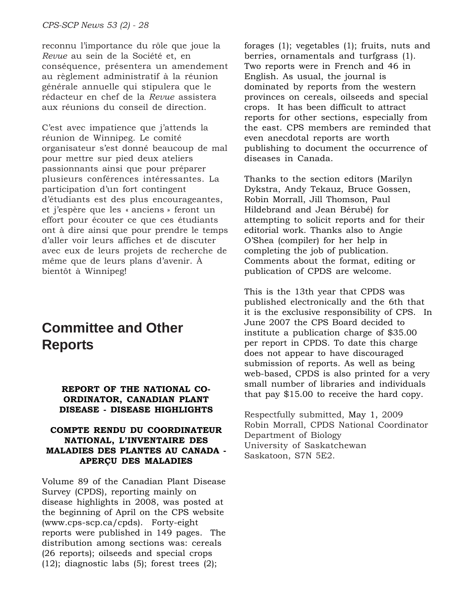reconnu l'importance du rôle que joue la *Revue* au sein de la Société et, en conséquence, présentera un amendement au règlement administratif à la réunion générale annuelle qui stipulera que le rédacteur en chef de la *Revue* assistera aux réunions du conseil de direction.

C'est avec impatience que j'attends la réunion de Winnipeg. Le comité organisateur s'est donné beaucoup de mal pour mettre sur pied deux ateliers passionnants ainsi que pour préparer plusieurs conférences intéressantes. La participation d'un fort contingent d'étudiants est des plus encourageantes, et j'espère que les « anciens » feront un effort pour écouter ce que ces étudiants ont à dire ainsi que pour prendre le temps d'aller voir leurs affiches et de discuter avec eux de leurs projets de recherche de même que de leurs plans d'avenir. À bientôt à Winnipeg!

# **Committee and Other Reports**

#### **REPORT OF THE NATIONAL CO-ORDINATOR, CANADIAN PLANT DISEASE - DISEASE HIGHLIGHTS**

### **COMPTE RENDU DU COORDINATEUR NATIONAL, L'INVENTAIRE DES MALADIES DES PLANTES AU CANADA - APERÇU DES MALADIES**

Volume 89 of the Canadian Plant Disease Survey (CPDS), reporting mainly on disease highlights in 2008, was posted at the beginning of April on the CPS website (www.cps-scp.ca/cpds). Forty-eight reports were published in 149 pages. The distribution among sections was: cereals (26 reports); oilseeds and special crops  $(12)$ ; diagnostic labs  $(5)$ ; forest trees  $(2)$ ;

forages (1); vegetables (1); fruits, nuts and berries, ornamentals and turfgrass (1). Two reports were in French and 46 in English. As usual, the journal is dominated by reports from the western provinces on cereals, oilseeds and special crops. It has been difficult to attract reports for other sections, especially from the east. CPS members are reminded that even anecdotal reports are worth publishing to document the occurrence of diseases in Canada.

Thanks to the section editors (Marilyn Dykstra, Andy Tekauz, Bruce Gossen, Robin Morrall, Jill Thomson, Paul Hildebrand and Jean Bérubé) for attempting to solicit reports and for their editorial work. Thanks also to Angie O'Shea (compiler) for her help in completing the job of publication. Comments about the format, editing or publication of CPDS are welcome.

This is the 13th year that CPDS was published electronically and the 6th that it is the exclusive responsibility of CPS. In June 2007 the CPS Board decided to institute a publication charge of \$35.00 per report in CPDS. To date this charge does not appear to have discouraged submission of reports. As well as being web-based, CPDS is also printed for a very small number of libraries and individuals that pay \$15.00 to receive the hard copy.

Respectfully submitted, May 1, 2009 Robin Morrall, CPDS National Coordinator Department of Biology University of Saskatchewan Saskatoon, S7N 5E2.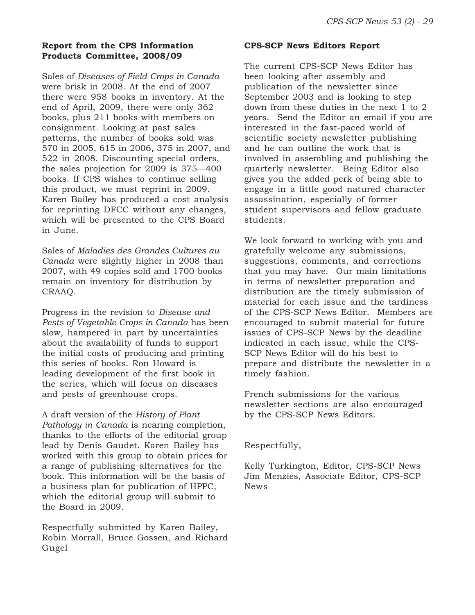# **Report from the CPS Information Products Committee, 2008/09**

Sales of *Diseases of Field Crops in Canada* were brisk in 2008. At the end of 2007 there were 958 books in inventory. At the end of April, 2009, there were only 362 books, plus 211 books with members on consignment. Looking at past sales patterns, the number of books sold was 570 in 2005, 615 in 2006, 375 in 2007, and 522 in 2008. Discounting special orders, the sales projection for 2009 is 375––400 books. If CPS wishes to continue selling this product, we must reprint in 2009. Karen Bailey has produced a cost analysis for reprinting DFCC without any changes, which will be presented to the CPS Board in June.

Sales of *Maladies des Grandes Cultures au Canada* were slightly higher in 2008 than 2007, with 49 copies sold and 1700 books remain on inventory for distribution by CRAAQ.

Progress in the revision to *Disease and Pests of Vegetable Crops in Canada* has been slow, hampered in part by uncertainties about the availability of funds to support the initial costs of producing and printing this series of books. Ron Howard is leading development of the first book in the series, which will focus on diseases and pests of greenhouse crops.

A draft version of the *History of Plant Pathology in Canada* is nearing completion, thanks to the efforts of the editorial group lead by Denis Gaudet. Karen Bailey has worked with this group to obtain prices for a range of publishing alternatives for the book. This information will be the basis of a business plan for publication of HPPC, which the editorial group will submit to the Board in 2009.

Respectfully submitted by Karen Bailey, Robin Morrall, Bruce Gossen, and Richard Gugel

#### **CPS-SCP News Editors Report**

The current CPS-SCP News Editor has been looking after assembly and publication of the newsletter since September 2003 and is looking to step down from these duties in the next 1 to 2 years. Send the Editor an email if you are interested in the fast-paced world of scientific society newsletter publishing and he can outline the work that is involved in assembling and publishing the quarterly newsletter. Being Editor also gives you the added perk of being able to engage in a little good natured character assassination, especially of former student supervisors and fellow graduate students.

We look forward to working with you and gratefully welcome any submissions, suggestions, comments, and corrections that you may have. Our main limitations in terms of newsletter preparation and distribution are the timely submission of material for each issue and the tardiness of the CPS-SCP News Editor. Members are encouraged to submit material for future issues of CPS-SCP News by the deadline indicated in each issue, while the CPS-SCP News Editor will do his best to prepare and distribute the newsletter in a timely fashion.

French submissions for the various newsletter sections are also encouraged by the CPS-SCP News Editors.

Respectfully,

Kelly Turkington, Editor, CPS-SCP News Jim Menzies, Associate Editor, CPS-SCP News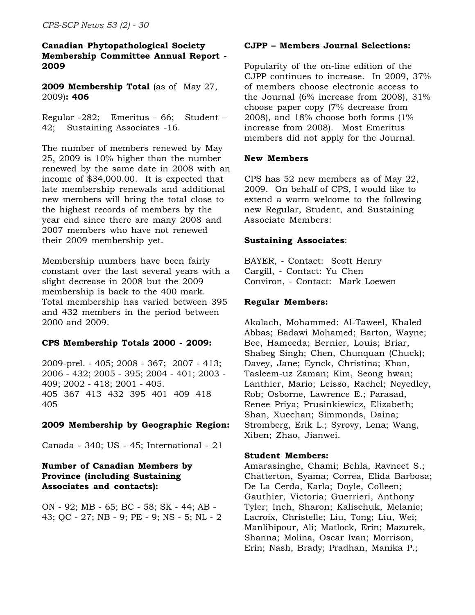### **Canadian Phytopathological Society Membership Committee Annual Report - 2009**

**2009 Membership Total** (as of May 27, 2009)**: 406**

Regular -282; Emeritus – 66; Student – 42; Sustaining Associates -16.

The number of members renewed by May 25, 2009 is 10% higher than the number renewed by the same date in 2008 with an income of \$34,000.00. It is expected that late membership renewals and additional new members will bring the total close to the highest records of members by the year end since there are many 2008 and 2007 members who have not renewed their 2009 membership yet.

Membership numbers have been fairly constant over the last several years with a slight decrease in 2008 but the 2009 membership is back to the 400 mark. Total membership has varied between 395 and 432 members in the period between 2000 and 2009.

# **CPS Membership Totals 2000 - 2009:**

2009-prel. - 405; 2008 - 367; 2007 - 413; 2006 - 432; 2005 - 395; 2004 - 401; 2003 - 409; 2002 - 418; 2001 - 405. 405 367 413 432 395 401 409 418 405

# **2009 Membership by Geographic Region:**

Canada - 340; US - 45; International - 21

# **Number of Canadian Members by Province (including Sustaining Associates and contacts):**

ON - 92; MB - 65; BC - 58; SK - 44; AB - 43; QC - 27; NB - 9; PE - 9; NS - 5; NL - 2

### **CJPP – Members Journal Selections:**

Popularity of the on-line edition of the CJPP continues to increase. In 2009, 37% of members choose electronic access to the Journal (6% increase from 2008), 31% choose paper copy (7% decrease from 2008), and 18% choose both forms (1% increase from 2008). Most Emeritus members did not apply for the Journal.

### **New Members**

CPS has 52 new members as of May 22, 2009. On behalf of CPS, I would like to extend a warm welcome to the following new Regular, Student, and Sustaining Associate Members:

### **Sustaining Associates**:

BAYER, - Contact: Scott Henry Cargill, - Contact: Yu Chen Conviron, - Contact: Mark Loewen

### **Regular Members:**

Akalach, Mohammed: Al-Taweel, Khaled Abbas; Badawi Mohamed; Barton, Wayne; Bee, Hameeda; Bernier, Louis; Briar, Shabeg Singh; Chen, Chunquan (Chuck); Davey, Jane; Eynck, Christina; Khan, Tasleem-uz Zaman; Kim, Seong hwan; Lanthier, Mario; Leisso, Rachel; Neyedley, Rob; Osborne, Lawrence E.; Parasad, Renee Priya; Prusinkiewicz, Elizabeth; Shan, Xuechan; Simmonds, Daina; Stromberg, Erik L.; Syrovy, Lena; Wang, Xiben; Zhao, Jianwei.

#### **Student Members:**

Amarasinghe, Chami; Behla, Ravneet S.; Chatterton, Syama; Correa, Elida Barbosa; De La Cerda, Karla; Doyle, Colleen; Gauthier, Victoria; Guerrieri, Anthony Tyler; Inch, Sharon; Kalischuk, Melanie; Lacroix, Christelle; Liu, Tong; Liu, Wei; Manlihipour, Ali; Matlock, Erin; Mazurek, Shanna; Molina, Oscar Ivan; Morrison, Erin; Nash, Brady; Pradhan, Manika P.;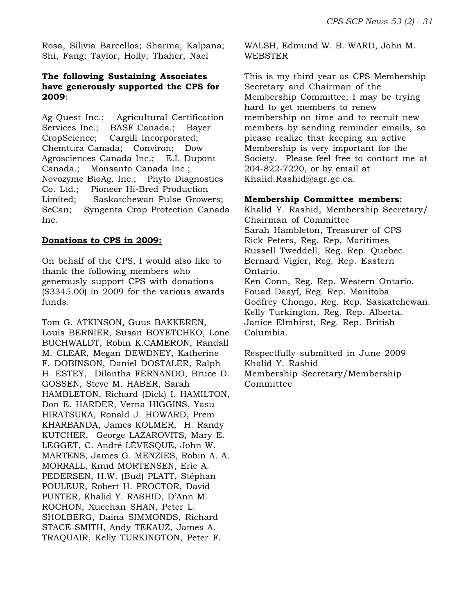Rosa, Silivia Barcellos; Sharma, Kalpana; Shi, Fang; Taylor, Holly; Thaher, Nael

#### **The following Sustaining Associates have generously supported the CPS for 2009**:

Ag-Quest Inc.; Agricultural Certification Services Inc.; BASF Canada.; Bayer CropScience; Cargill Incorporated; Chemtura Canada; Conviron; Dow Agrosciences Canada Inc.; E.I. Dupont Canada.; Monsanto Canada Inc.; Novozyme BioAg. Inc.; Phyto Diagnostics Co. Ltd.; Pioneer Hi-Bred Production Limited; Saskatchewan Pulse Growers; SeCan; Syngenta Crop Protection Canada Inc.

#### **Donations to CPS in 2009:**

On behalf of the CPS, I would also like to thank the following members who generously support CPS with donations (\$3345.00) in 2009 for the various awards funds.

Tom G. ATKINSON, Guus BAKKEREN, Louis BERNIER, Susan BOYETCHKO, Lone BUCHWALDT, Robin K.CAMERON, Randall M. CLEAR, Megan DEWDNEY, Katherine F. DOBINSON, Daniel DOSTALER, Ralph H. ESTEY, Dilantha FERNANDO, Bruce D. GOSSEN, Steve M. HABER, Sarah HAMBLETON, Richard (Dick) I. HAMILTON, Don E. HARDER, Verna HIGGINS, Yasu HIRATSUKA, Ronald J. HOWARD, Prem KHARBANDA, James KOLMER, H. Randy KUTCHER, George LAZAROVITS, Mary E. LEGGET, C. André LÉVESQUE, John W. MARTENS, James G. MENZIES, Robin A. A. MORRALL, Knud MORTENSEN, Eric A. PEDERSEN, H.W. (Bud) PLATT, Stéphan POULEUR, Robert H. PROCTOR, David PUNTER, Khalid Y. RASHID, D'Ann M. ROCHON, Xuechan SHAN, Peter L. SHOLBERG, Daina SIMMONDS, Richard STACE-SMITH, Andy TEKAUZ, James A. TRAQUAIR, Kelly TURKINGTON, Peter F.

WALSH, Edmund W. B. WARD, John M. WEBSTER

This is my third year as CPS Membership Secretary and Chairman of the Membership Committee; I may be trying hard to get members to renew membership on time and to recruit new members by sending reminder emails, so please realize that keeping an active Membership is very important for the Society. Please feel free to contact me at 204-822-7220, or by email at Khalid.Rashid@agr.gc.ca.

#### **Membership Committee members**:

Khalid Y. Rashid, Membership Secretary/ Chairman of Committee Sarah Hambleton, Treasurer of CPS Rick Peters, Reg. Rep, Maritimes Russell Tweddell, Reg. Rep. Quebec. Bernard Vigier, Reg. Rep. Eastern Ontario. Ken Conn, Reg. Rep. Western Ontario. Fouad Daayf, Reg. Rep. Manitoba Godfrey Chongo, Reg. Rep. Saskatchewan. Kelly Turkington, Reg. Rep. Alberta. Janice Elmhirst, Reg. Rep. British Columbia.

Respectfully submitted in June 2009 Khalid Y. Rashid Membership Secretary/Membership Committee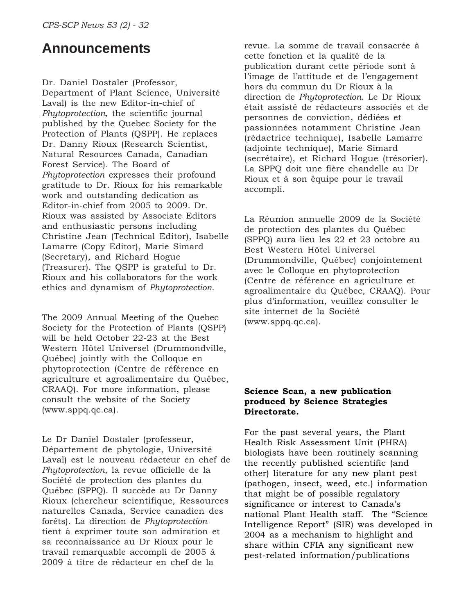# **Announcements**

Dr. Daniel Dostaler (Professor, Department of Plant Science, Université Laval) is the new Editor-in-chief of *Phytoprotection,* the scientific journal published by the Quebec Society for the Protection of Plants (QSPP). He replaces Dr. Danny Rioux (Research Scientist, Natural Resources Canada, Canadian Forest Service). The Board of *Phytoprotection* expresses their profound gratitude to Dr. Rioux for his remarkable work and outstanding dedication as Editor-in-chief from 2005 to 2009. Dr. Rioux was assisted by Associate Editors and enthusiastic persons including Christine Jean (Technical Editor), Isabelle Lamarre (Copy Editor), Marie Simard (Secretary), and Richard Hogue (Treasurer). The QSPP is grateful to Dr. Rioux and his collaborators for the work ethics and dynamism of *Phytoprotection*.

The 2009 Annual Meeting of the Quebec Society for the Protection of Plants (QSPP) will be held October 22-23 at the Best Western Hôtel Universel (Drummondville, Québec) jointly with the Colloque en phytoprotection (Centre de référence en agriculture et agroalimentaire du Québec, CRAAQ). For more information, please consult the website of the Society (www.sppq.qc.ca).

Le Dr Daniel Dostaler (professeur, Département de phytologie, Université Laval) est le nouveau rédacteur en chef de *Phytoprotection*, la revue officielle de la Société de protection des plantes du Québec (SPPQ). Il succède au Dr Danny Rioux (chercheur scientifique, Ressources naturelles Canada, Service canadien des forêts). La direction de *Phytoprotection* tient à exprimer toute son admiration et sa reconnaissance au Dr Rioux pour le travail remarquable accompli de 2005 à 2009 à titre de rédacteur en chef de la

revue. La somme de travail consacrée à cette fonction et la qualité de la publication durant cette période sont à l'image de l'attitude et de l'engagement hors du commun du Dr Rioux à la direction de *Phytoprotection*. Le Dr Rioux était assisté de rédacteurs associés et de personnes de conviction, dédiées et passionnées notamment Christine Jean (rédactrice technique), Isabelle Lamarre (adjointe technique), Marie Simard (secrétaire), et Richard Hogue (trésorier). La SPPQ doit une fière chandelle au Dr Rioux et à son équipe pour le travail accompli.

La Réunion annuelle 2009 de la Société de protection des plantes du Québec (SPPQ) aura lieu les 22 et 23 octobre au Best Western Hôtel Universel (Drummondville, Québec) conjointement avec le Colloque en phytoprotection (Centre de référence en agriculture et agroalimentaire du Québec, CRAAQ). Pour plus d'information, veuillez consulter le site internet de la Société (www.sppq.qc.ca).

#### **Science Scan, a new publication produced by Science Strategies Directorate.**

For the past several years, the Plant Health Risk Assessment Unit (PHRA) biologists have been routinely scanning the recently published scientific (and other) literature for any new plant pest (pathogen, insect, weed, etc.) information that might be of possible regulatory significance or interest to Canada's national Plant Health staff. The "Science Intelligence Report" (SIR) was developed in 2004 as a mechanism to highlight and share within CFIA any significant new pest-related information/publications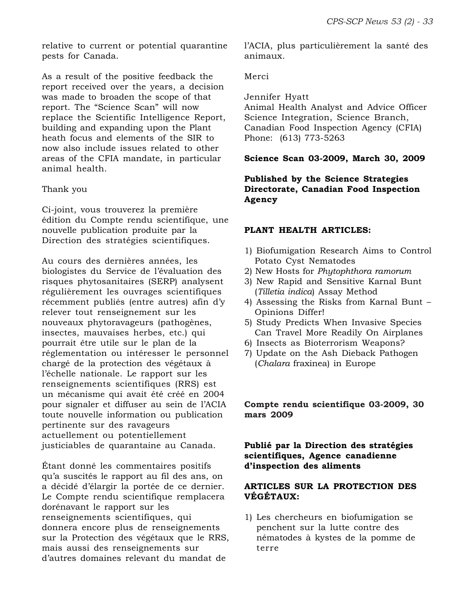relative to current or potential quarantine pests for Canada.

As a result of the positive feedback the report received over the years, a decision was made to broaden the scope of that report. The "Science Scan" will now replace the Scientific Intelligence Report, building and expanding upon the Plant heath focus and elements of the SIR to now also include issues related to other areas of the CFIA mandate, in particular animal health.

#### Thank you

Ci-joint, vous trouverez la première édition du Compte rendu scientifique, une nouvelle publication produite par la Direction des stratégies scientifiques.

Au cours des dernières années, les biologistes du Service de l'évaluation des risques phytosanitaires (SERP) analysent régulièrement les ouvrages scientifiques récemment publiés (entre autres) afin d'y relever tout renseignement sur les nouveaux phytoravageurs (pathogènes, insectes, mauvaises herbes, etc.) qui pourrait être utile sur le plan de la réglementation ou intéresser le personnel chargé de la protection des végétaux à l'échelle nationale. Le rapport sur les renseignements scientifiques (RRS) est un mécanisme qui avait été créé en 2004 pour signaler et diffuser au sein de l'ACIA toute nouvelle information ou publication pertinente sur des ravageurs actuellement ou potentiellement justiciables de quarantaine au Canada.

Étant donné les commentaires positifs qu'a suscités le rapport au fil des ans, on a décidé d'élargir la portée de ce dernier. Le Compte rendu scientifique remplacera dorénavant le rapport sur les renseignements scientifiques, qui donnera encore plus de renseignements sur la Protection des végétaux que le RRS, mais aussi des renseignements sur d'autres domaines relevant du mandat de

l'ACIA, plus particulièrement la santé des animaux.

Merci

Jennifer Hyatt

Animal Health Analyst and Advice Officer Science Integration, Science Branch, Canadian Food Inspection Agency (CFIA) Phone: (613) 773-5263

# **Science Scan 03-2009, March 30, 2009**

# **Published by the Science Strategies Directorate, Canadian Food Inspection Agency**

# **PLANT HEALTH ARTICLES:**

- 1) Biofumigation Research Aims to Control Potato Cyst Nematodes
- 2) New Hosts for *Phytophthora ramorum*
- 3) New Rapid and Sensitive Karnal Bunt (*Tilletia indica*) Assay Method
- 4) Assessing the Risks from Karnal Bunt Opinions Differ!
- 5) Study Predicts When Invasive Species Can Travel More Readily On Airplanes
- 6) Insects as Bioterrorism Weapons?
- 7) Update on the Ash Dieback Pathogen (*Chalara* fraxinea) in Europe

#### **Compte rendu scientifique 03-2009, 30 mars 2009**

### **Publié par la Direction des stratégies scientifiques, Agence canadienne d'inspection des aliments**

#### **ARTICLES SUR LA PROTECTION DES VÉGÉTAUX:**

1) Les chercheurs en biofumigation se penchent sur la lutte contre des nématodes à kystes de la pomme de terre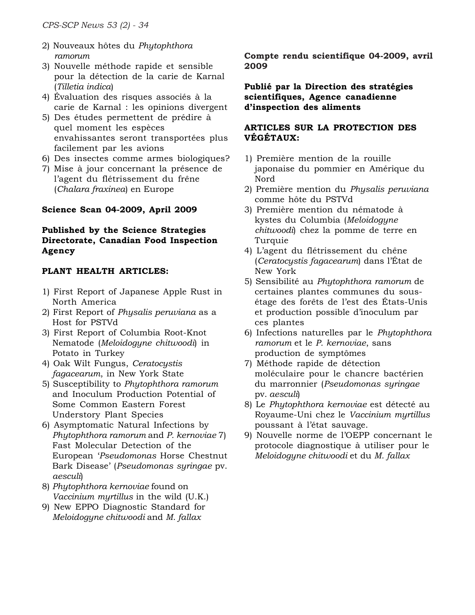- 2) Nouveaux hôtes du *Phytophthora ramorum*
- 3) Nouvelle méthode rapide et sensible pour la détection de la carie de Karnal (*Tilletia indica*)
- 4) Évaluation des risques associés à la carie de Karnal : les opinions divergent
- 5) Des études permettent de prédire à quel moment les espèces envahissantes seront transportées plus facilement par les avions
- 6) Des insectes comme armes biologiques?
- 7) Mise à jour concernant la présence de l'agent du flétrissement du frêne (*Chalara fraxinea*) en Europe

# **Science Scan 04-2009, April 2009**

# **Published by the Science Strategies Directorate, Canadian Food Inspection Agency**

# **PLANT HEALTH ARTICLES:**

- 1) First Report of Japanese Apple Rust in North America
- 2) First Report of *Physalis peruviana* as a Host for PSTVd
- 3) First Report of Columbia Root-Knot Nematode (*Meloidogyne chitwoodi*) in Potato in Turkey
- 4) Oak Wilt Fungus, *Ceratocystis fagacearum*, in New York State
- 5) Susceptibility to *Phytophthora ramorum* and Inoculum Production Potential of Some Common Eastern Forest Understory Plant Species
- 6) Asymptomatic Natural Infections by *Phytophthora ramorum* and *P. kernoviae* 7) Fast Molecular Detection of the European '*Pseudomonas* Horse Chestnut Bark Disease' (*Pseudomonas syringae* pv. *aesculi*)
- 8) *Phytophthora kernoviae* found on *Vaccinium myrtillus* in the wild (U.K.)
- 9) New EPPO Diagnostic Standard for *Meloidogyne chitwoodi* and *M. fallax*

**Compte rendu scientifique 04-2009, avril 2009**

**Publié par la Direction des stratégies scientifiques, Agence canadienne d'inspection des aliments**

### **ARTICLES SUR LA PROTECTION DES VÉGÉTAUX:**

- 1) Première mention de la rouille japonaise du pommier en Amérique du Nord
- 2) Première mention du *Physalis peruviana* comme hôte du PSTVd
- 3) Première mention du nématode à kystes du Columbia (*Meloidogyne chitwoodi*) chez la pomme de terre en Turquie
- 4) L'agent du flétrissement du chêne (*Ceratocystis fagacearum*) dans l'État de New York
- 5) Sensibilité au *Phytophthora ramorum* de certaines plantes communes du sousétage des forêts de l'est des États-Unis et production possible d'inoculum par ces plantes
- 6) Infections naturelles par le *Phytophthora ramorum* et le *P. kernoviae*, sans production de symptômes
- 7) Méthode rapide de détection moléculaire pour le chancre bactérien du marronnier (*Pseudomonas syringae* pv. *aesculi*)
- 8) Le *Phytophthora kernoviae* est détecté au Royaume-Uni chez le *Vaccinium myrtillus* poussant à l'état sauvage.
- 9) Nouvelle norme de l'OEPP concernant le protocole diagnostique à utiliser pour le *Meloidogyne chitwoodi* et du *M. fallax*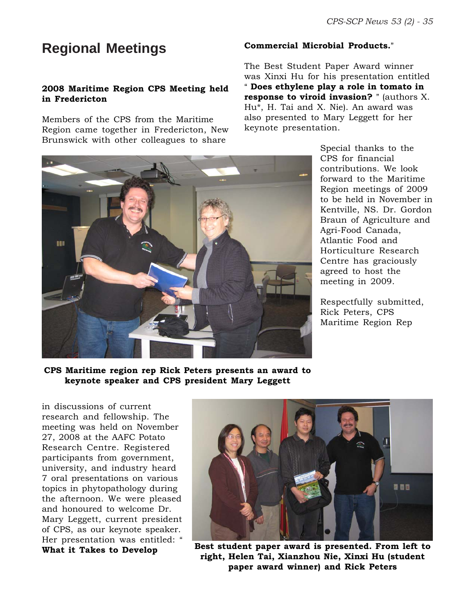# **Regional Meetings**

### **2008 Maritime Region CPS Meeting held in Fredericton**

Members of the CPS from the Maritime Region came together in Fredericton, New Brunswick with other colleagues to share

#### **Commercial Microbial Products."**

The Best Student Paper Award winner was Xinxi Hu for his presentation entitled A **Does ethylene play a role in tomato in response to viroid invasion?** " (authors X. Hu\*, H. Tai and X. Nie). An award was also presented to Mary Leggett for her keynote presentation.



Special thanks to the CPS for financial contributions. We look forward to the Maritime Region meetings of 2009 to be held in November in Kentville, NS. Dr. Gordon Braun of Agriculture and Agri-Food Canada, Atlantic Food and Horticulture Research Centre has graciously agreed to host the meeting in 2009.

Respectfully submitted, Rick Peters, CPS Maritime Region Rep

**CPS Maritime region rep Rick Peters presents an award to keynote speaker and CPS president Mary Leggett**

in discussions of current research and fellowship. The meeting was held on November 27, 2008 at the AAFC Potato Research Centre. Registered participants from government, university, and industry heard 7 oral presentations on various topics in phytopathology during the afternoon. We were pleased and honoured to welcome Dr. Mary Leggett, current president of CPS, as our keynote speaker. Her presentation was entitled: " **What it Takes to Develop**



**Best student paper award is presented. From left to right, Helen Tai, Xianzhou Nie, Xinxi Hu (student paper award winner) and Rick Peters**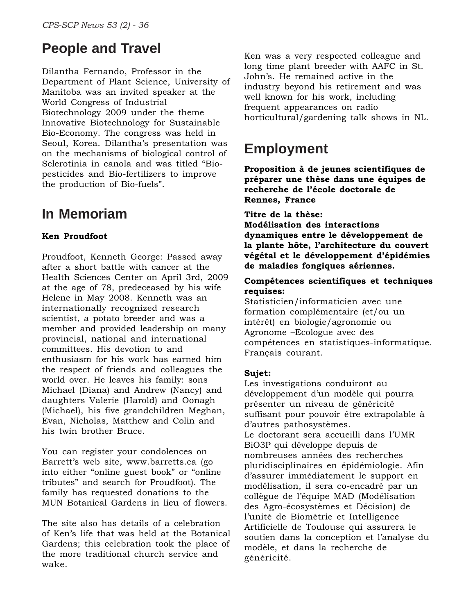# **People and Travel**

Dilantha Fernando, Professor in the Department of Plant Science, University of Manitoba was an invited speaker at the World Congress of Industrial Biotechnology 2009 under the theme Innovative Biotechnology for Sustainable Bio-Economy. The congress was held in Seoul, Korea. Dilantha's presentation was on the mechanisms of biological control of Sclerotinia in canola and was titled "Biopesticides and Bio-fertilizers to improve the production of Bio-fuels".

# **In Memoriam**

# **Ken Proudfoot**

Proudfoot, Kenneth George: Passed away after a short battle with cancer at the Health Sciences Center on April 3rd, 2009 at the age of 78, predeceased by his wife Helene in May 2008. Kenneth was an internationally recognized research scientist, a potato breeder and was a member and provided leadership on many provincial, national and international committees. His devotion to and enthusiasm for his work has earned him the respect of friends and colleagues the world over. He leaves his family: sons Michael (Diana) and Andrew (Nancy) and daughters Valerie (Harold) and Oonagh (Michael), his five grandchildren Meghan, Evan, Nicholas, Matthew and Colin and his twin brother Bruce.

You can register your condolences on Barrett's web site, www.barretts.ca (go into either "online guest book" or "online tributes" and search for Proudfoot). The family has requested donations to the MUN Botanical Gardens in lieu of flowers.

The site also has details of a celebration of Ken's life that was held at the Botanical Gardens; this celebration took the place of the more traditional church service and wake.

Ken was a very respected colleague and long time plant breeder with AAFC in St. John's. He remained active in the industry beyond his retirement and was well known for his work, including frequent appearances on radio horticultural/gardening talk shows in NL.

# **Employment**

**Proposition à de jeunes scientifiques de préparer une thèse dans une équipes de recherche de l'école doctorale de Rennes, France**

# **Titre de la thèse:**

**Modélisation des interactions dynamiques entre le développement de la plante hôte, l'architecture du couvert végétal et le développement d'épidémies de maladies fongiques aériennes.**

### **Compétences scientifiques et techniques requises:**

Statisticien/informaticien avec une formation complémentaire (et/ou un intérêt) en biologie/agronomie ou Agronome –Ecologue avec des compétences en statistiques-informatique. Français courant.

# **Sujet:**

Les investigations conduiront au développement d'un modèle qui pourra présenter un niveau de généricité suffisant pour pouvoir être extrapolable à d'autres pathosystèmes. Le doctorant sera accueilli dans l'UMR BiO3P qui développe depuis de nombreuses années des recherches pluridisciplinaires en épidémiologie. Afin d'assurer immédiatement le support en modélisation, il sera co-encadré par un collègue de l'équipe MAD (Modélisation des Agro-écosystèmes et Décision) de l'unité de Biométrie et Intelligence Artificielle de Toulouse qui assurera le soutien dans la conception et l'analyse du modèle, et dans la recherche de généricité.